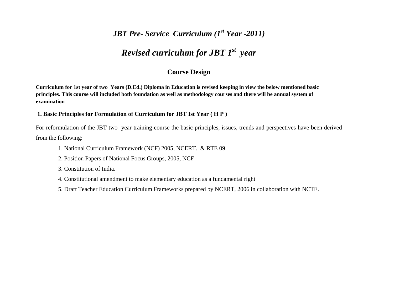# *JBT Pre- Service Curriculum (1<sup>st</sup> Year -2011)*

# *Revised curriculum for JBT 1st year*

#### **Course Design**

**Curriculum for 1st year of two Years (D.Ed.) Diploma in Education is revised keeping in view the below mentioned basic principles. This course will included both foundation as well as methodology courses and there will be annual system of examination** 

#### **1. Basic Principles for Formulation of Curriculum for JBT Ist Year ( H P )**

For reformulation of the JBT two year training course the basic principles, issues, trends and perspectives have been derived from the following:

- 1. National Curriculum Framework (NCF) 2005, NCERT. & RTE 09
- 2. Position Papers of National Focus Groups, 2005, NCF
- 3. Constitution of India.
- 4. Constitutional amendment to make elementary education as a fundamental right
- 5. Draft Teacher Education Curriculum Frameworks prepared by NCERT, 2006 in collaboration with NCTE.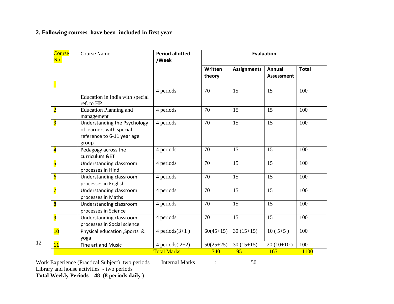### **2. Following courses have been included in first year**

| Course<br>No.           | <b>Course Name</b>                                                                              | <b>Period allotted</b><br>/Week | <b>Evaluation</b> |                    |                             |              |
|-------------------------|-------------------------------------------------------------------------------------------------|---------------------------------|-------------------|--------------------|-----------------------------|--------------|
|                         |                                                                                                 |                                 | Written<br>theory | <b>Assignments</b> | Annual<br><b>Assessment</b> | <b>Total</b> |
| $\mathbf{1}$            | Education in India with special<br>ref. to HP                                                   | 4 periods                       | 70                | 15                 | 15                          | 100          |
| $\overline{2}$          | <b>Education Planning and</b><br>management                                                     | 4 periods                       | 70                | 15                 | 15                          | 100          |
| $\overline{\mathbf{3}}$ | Understanding the Psychology<br>of learners with special<br>reference to 6-11 year age<br>group | 4 periods                       | 70                | 15                 | 15                          | 100          |
| $\overline{\mathbf{4}}$ | Pedagogy across the<br>curriculum &ET                                                           | 4 periods                       | 70                | 15                 | 15                          | 100          |
| $\overline{\mathbf{5}}$ | Understanding classroom<br>processes in Hindi                                                   | 4 periods                       | 70                | 15                 | 15                          | 100          |
| $6\overline{6}$         | Understanding classroom<br>processes in English                                                 | 4 periods                       | 70                | 15                 | 15                          | 100          |
| $\overline{\mathbf{z}}$ | Understanding classroom<br>processes in Maths                                                   | 4 periods                       | 70                | 15                 | 15                          | 100          |
| $\overline{\mathbf{8}}$ | Understanding classroom<br>processes in Science                                                 | 4 periods                       | 70                | 15                 | 15                          | 100          |
| <mark>9</mark>          | Understanding classroom<br>processes in Social science                                          | 4 periods                       | 70                | 15                 | 15                          | 100          |
| 10                      | Physical education , Sports &<br>yoga                                                           | 4 periods $(3+1)$               | $60(45+15)$       | $30(15+15)$        | $10(5+5)$                   | 100          |
| 11                      | Fine art and Music                                                                              | 4 periods $(2+2)$               | $50(25+25)$       | $30(15+15)$        | $20(10+10)$                 | 100          |
|                         |                                                                                                 | <b>Total Marks</b>              | 740               | 195                | 165                         | 1100         |

12

Work Experience (Practical Subject) two periods Internal Marks : 50 Library and house activities - two periods **Total Weekly Periods – 48 (8 periods daily )**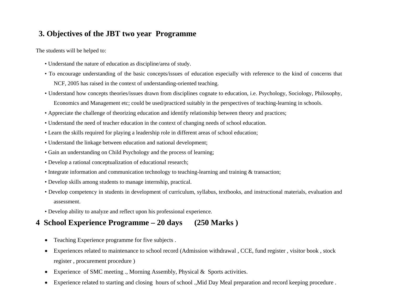# **3. Objectives of the JBT two year Programme**

The students will be helped to:

- Understand the nature of education as discipline/area of study.
- To encourage understanding of the basic concepts/issues of education especially with reference to the kind of concerns that NCF, 2005 has raised in the context of understanding-oriented teaching.
- Understand how concepts theories/issues drawn from disciplines cognate to education, i.e. Psychology, Sociology, Philosophy, Economics and Management etc; could be used/practiced suitably in the perspectives of teaching-learning in schools.
- Appreciate the challenge of theorizing education and identify relationship between theory and practices;
- Understand the need of teacher education in the context of changing needs of school education.
- Learn the skills required for playing a leadership role in different areas of school education;
- Understand the linkage between education and national development;
- Gain an understanding on Child Psychology and the process of learning;
- Develop a rational conceptualization of educational research;
- Integrate information and communication technology to teaching-learning and training & transaction;
- Develop skills among students to manage internship, practical.
- Develop competency in students in development of curriculum, syllabus, textbooks, and instructional materials, evaluation and assessment.
- Develop ability to analyze and reflect upon his professional experience.

# **4 School Experience Programme – 20 days (250 Marks )**

- •Teaching Experience programme for five subjects .
- • Experiences related to maintenance to school record (Admission withdrawal , CCE, fund register , visitor book , stock register , procurement procedure )
- •Experience of SMC meeting ., Morning Assembly, Physical & Sports activities.
- •Experience related to starting and closing hours of school .,Mid Day Meal preparation and record keeping procedure .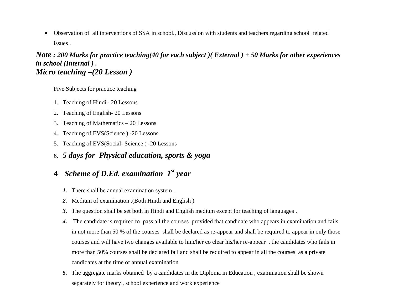• Observation of all interventions of SSA in school., Discussion with students and teachers regarding school related issues .

## *Note : 200 Marks for practice teaching(40 for each subject )( External ) + 50 Marks for other experiences in school (Internal ) . Micro teaching –(20 Lesson )*

Five Subjects for practice teaching

- 1. Teaching of Hindi 20 Lessons
- 2. Teaching of English- 20 Lessons
- 3. Teaching of Mathematics 20 Lessons
- 4. Teaching of EVS(Science ) -20 Lessons
- 5. Teaching of EVS(Social- Science ) -20 Lessons

# 6. *5 days for Physical education, sports & yoga*

#### **4***Scheme of D.Ed. examination 1st year*

- *1.* There shall be annual examination system .
- *2.*Medium of examination .(Both Hindi and English )
- *3.* The question shall be set both in Hindi and English medium except for teaching of languages .
- *4.* The candidate is required to pass all the courses provided that candidate who appears in examination and fails in not more than 50 % of the courses shall be declared as re-appear and shall be required to appear in only those courses and will have two changes available to him/her co clear his/her re-appear . the candidates who fails in more than 50% courses shall be declared fail and shall be required to appear in all the courses as a private candidates at the time of annual examination
- *5.* The aggregate marks obtained by a candidates in the Diploma in Education , examination shall be shown separately for theory , school experience and work experience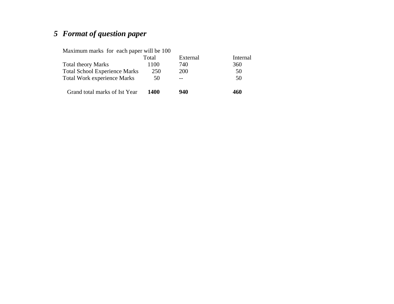## *5 Format of question paper*

| Maximum marks for each paper will be 100 |       |          |          |
|------------------------------------------|-------|----------|----------|
|                                          | Total | External | Internal |
| <b>Total theory Marks</b>                | 1100  | 740      | 360      |
| <b>Total School Experience Marks</b>     | 250   | 200      | 50       |
| <b>Total Work experience Marks</b>       | 50    |          | 50       |
| Grand total marks of Ist Year            | 1400  | 940      | 460      |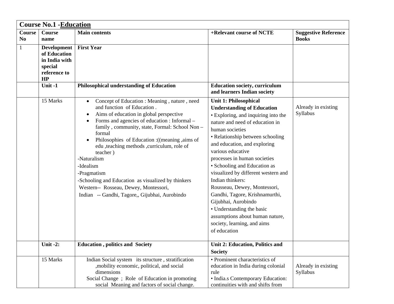| <b>Course No.1 - Education</b> |                                                                                      |                                                                                                                                                                                                                                                                                                                                                                                                                                                                                                                                                         |                                                                                                                                                                                                                                                                                                                                                                                                                                                                                                                                                                                            |                                             |
|--------------------------------|--------------------------------------------------------------------------------------|---------------------------------------------------------------------------------------------------------------------------------------------------------------------------------------------------------------------------------------------------------------------------------------------------------------------------------------------------------------------------------------------------------------------------------------------------------------------------------------------------------------------------------------------------------|--------------------------------------------------------------------------------------------------------------------------------------------------------------------------------------------------------------------------------------------------------------------------------------------------------------------------------------------------------------------------------------------------------------------------------------------------------------------------------------------------------------------------------------------------------------------------------------------|---------------------------------------------|
| Course<br>No                   | <b>Course</b><br>name                                                                | <b>Main contents</b>                                                                                                                                                                                                                                                                                                                                                                                                                                                                                                                                    | +Relevant course of NCTE                                                                                                                                                                                                                                                                                                                                                                                                                                                                                                                                                                   | <b>Suggestive Reference</b><br><b>Books</b> |
| $\mathbf{1}$                   | <b>Development</b><br>of Education<br>in India with<br>special<br>reference to<br>HP | <b>First Year</b>                                                                                                                                                                                                                                                                                                                                                                                                                                                                                                                                       |                                                                                                                                                                                                                                                                                                                                                                                                                                                                                                                                                                                            |                                             |
|                                | Unit-1                                                                               | <b>Philosophical understanding of Education</b>                                                                                                                                                                                                                                                                                                                                                                                                                                                                                                         | <b>Education society, curriculum</b><br>and learners Indian society                                                                                                                                                                                                                                                                                                                                                                                                                                                                                                                        |                                             |
|                                | 15 Marks                                                                             | Concept of Education : Meaning, nature, need<br>$\bullet$<br>and function of Education.<br>Aims of education in global perspective<br>Forms and agencies of education : Informal –<br>family, community, state, Formal: School Non -<br>formal<br>Philosophies of Education : ((meaning , aims of<br>edu ,teaching methods ,curriculum, role of<br>teacher)<br>-Naturalism<br>-Idealism<br>-Pragmatism<br>-Schooling and Education as visualized by thinkers<br>Western-- Rosseau, Dewey, Montessori,<br>Indian -- Gandhi, Tagore,, Gijubhai, Aurobindo | <b>Unit 1: Philosophical</b><br><b>Understanding of Education</b><br>• Exploring, and inquiring into the<br>nature and need of education in<br>human societies<br>• Relationship between schooling<br>and education, and exploring<br>various educative<br>processes in human societies<br>• Schooling and Education as<br>visualized by different western and<br>Indian thinkers:<br>Rousseau, Dewey, Montessori,<br>Gandhi, Tagore, Krishnamurthi,<br>Gijubhai, Aurobindo<br>• Understanding the basic<br>assumptions about human nature,<br>society, learning, and aims<br>of education | Already in existing<br>Syllabus             |
|                                | Unit $-2$ :                                                                          | <b>Education</b> , politics and Society                                                                                                                                                                                                                                                                                                                                                                                                                                                                                                                 | Unit 2: Education, Politics and<br><b>Society</b>                                                                                                                                                                                                                                                                                                                                                                                                                                                                                                                                          |                                             |
|                                | 15 Marks                                                                             | Indian Social system its structure, stratification<br>, mobility economic, political, and social<br>dimensions<br>Social Change; Role of Education in promoting<br>social Meaning and factors of social change.                                                                                                                                                                                                                                                                                                                                         | • Prominent characteristics of<br>education in India during colonial<br>rule<br>• India.s Contemporary Education:<br>continuities with and shifts from                                                                                                                                                                                                                                                                                                                                                                                                                                     | Already in existing<br>Syllabus             |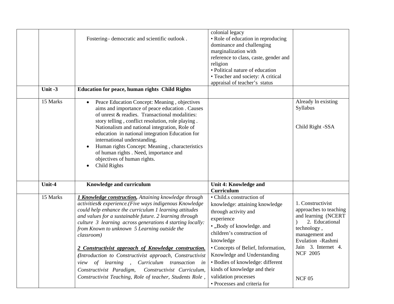| Fostering-democratic and scientific outlook.<br><b>Education for peace, human rights Child Rights</b>                                                                                                                                                                                                                                                                                                                                                                                                                                                                                                                                                                | colonial legacy<br>• Role of education in reproducing<br>dominance and challenging<br>marginalization with<br>reference to class, caste, gender and<br>religion<br>• Political nature of education<br>• Teacher and society: A critical<br>appraisal of teacher's status                                                                   |                                                                                                                                                                                                  |
|----------------------------------------------------------------------------------------------------------------------------------------------------------------------------------------------------------------------------------------------------------------------------------------------------------------------------------------------------------------------------------------------------------------------------------------------------------------------------------------------------------------------------------------------------------------------------------------------------------------------------------------------------------------------|--------------------------------------------------------------------------------------------------------------------------------------------------------------------------------------------------------------------------------------------------------------------------------------------------------------------------------------------|--------------------------------------------------------------------------------------------------------------------------------------------------------------------------------------------------|
| Peace Education Concept: Meaning, objectives<br>$\bullet$<br>aims and importance of peace education . Causes<br>of unrest & readies. Transactional modalities:<br>story telling, conflict resolution, role playing.<br>Nationalism and national integration, Role of<br>education in national integration Education for<br>international understanding.<br>Human rights Concept: Meaning, characteristics<br>of human rights . Need, importance and<br>objectives of human rights.<br><b>Child Rights</b>                                                                                                                                                            |                                                                                                                                                                                                                                                                                                                                            | Already ln existing<br>Syllabus<br>Child Right -SSA                                                                                                                                              |
| Knowledge and curriculum                                                                                                                                                                                                                                                                                                                                                                                                                                                                                                                                                                                                                                             | Unit 4: Knowledge and                                                                                                                                                                                                                                                                                                                      |                                                                                                                                                                                                  |
| <b>1 Knowledge construction</b> , Attaining knowledge through<br>activities & experience.(Five ways indigenous Knowledge<br>could help enhance the curriculum 1 learning attitudes<br>and values for a sustainable future. 2 learning through<br>culture 3 learning across generations 4 starting locally:<br>from Known to unknown 5 Learning outside the<br>classroom)<br>2 Constructivist approach of Knowledge construction.<br>(Introduction to Constructivist approach, Constructivist<br>Curriculum transaction in<br>view of learning,<br>Constructivist Paradigm,<br>Constructivist Curriculum,<br>Constructivist Teaching, Role of teacher, Students Role, | • Child.s construction of<br>knowledge: attaining knowledge<br>through activity and<br>experience<br>• "Body of knowledge. and<br>children's construction of<br>knowledge<br>• Concepts of Belief, Information,<br>Knowledge and Understanding<br>· Bodies of knowledge: different<br>kinds of knowledge and their<br>validation processes | 1. Constructivist<br>approaches to teaching<br>and learning (NCERT<br>2. Educational<br>technology,<br>management and<br>Evulation -Rashmi<br>Jain 3. Internet 4.<br><b>NCF 2005</b><br>$NCF$ 05 |
|                                                                                                                                                                                                                                                                                                                                                                                                                                                                                                                                                                                                                                                                      |                                                                                                                                                                                                                                                                                                                                            | Curriculum<br>• Processes and criteria for                                                                                                                                                       |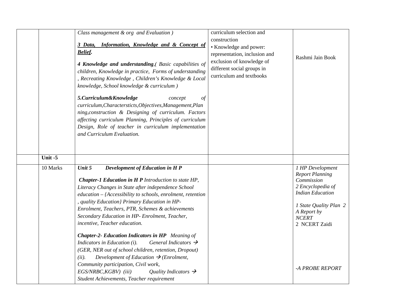|          | Class management & org and Evaluation)<br>Information, Knowledge and & Concept of<br>3 Data,<br><b>Belief.</b><br>4 Knowledge and understanding, (Basic capabilities of<br>children, Knowledge in practice, Forms of understanding<br>, Recreating Knowledge, Children's Knowledge & Local<br>knowledge, School knowledge & curriculum)<br>5. Curriculum&Knowledge<br>$\sigma f$<br>concept<br>curriculum, Charactersticts, Objectives, Management, Plan<br>ning, construction & Designing of curriculum. Factors<br>affecting curriculum Planning, Principles of curriculum<br>Design, Role of teacher in curriculum implementation<br>and Curriculum Evaluation.                                                                                                                                                                | curriculum selection and<br>construction<br>• Knowledge and power:<br>representation, inclusion and<br>exclusion of knowledge of<br>different social groups in<br>curriculum and textbooks | Rashmi Jain Book                                                                                                                                                                                      |
|----------|-----------------------------------------------------------------------------------------------------------------------------------------------------------------------------------------------------------------------------------------------------------------------------------------------------------------------------------------------------------------------------------------------------------------------------------------------------------------------------------------------------------------------------------------------------------------------------------------------------------------------------------------------------------------------------------------------------------------------------------------------------------------------------------------------------------------------------------|--------------------------------------------------------------------------------------------------------------------------------------------------------------------------------------------|-------------------------------------------------------------------------------------------------------------------------------------------------------------------------------------------------------|
| Unit-5   |                                                                                                                                                                                                                                                                                                                                                                                                                                                                                                                                                                                                                                                                                                                                                                                                                                   |                                                                                                                                                                                            |                                                                                                                                                                                                       |
| 10 Marks | Development of Education in HP<br>Unit 5<br><b>Chapter-1 Education in H P Introduction to state HP,</b><br>Literacy Changes in State after independence School<br>$education - {Accessibility to schools, enrolment, retention}$<br>, quality Education} Primary Education in HP-<br>Enrolment, Teachers, PTR, Schemes & achievements<br>Secondary Education in HP- Enrolment, Teacher,<br>incentive, Teacher education.<br><b>Chapter-2- Education Indicators in HP</b> Meaning of<br>Indicators in Education (i).<br>General Indicators $\rightarrow$<br>(GER, NER out of school children, retention, Dropout)<br>Development of Education $\rightarrow$ (Enrolment,<br>(ii).<br>Community participation, Civil work,<br>EGS/NRBC, KGBV) (iii)<br>Quality Indicators $\rightarrow$<br>Student Achievements, Teacher requirement |                                                                                                                                                                                            | 1 HP Development<br><b>Report Planning</b><br>Commission<br>2 Encyclopedia of<br><b>Indian Education</b><br>1 State Quality Plan 2<br>A Report by<br><b>NCERT</b><br>2 NCERT Zaidi<br>-A PROBE REPORT |